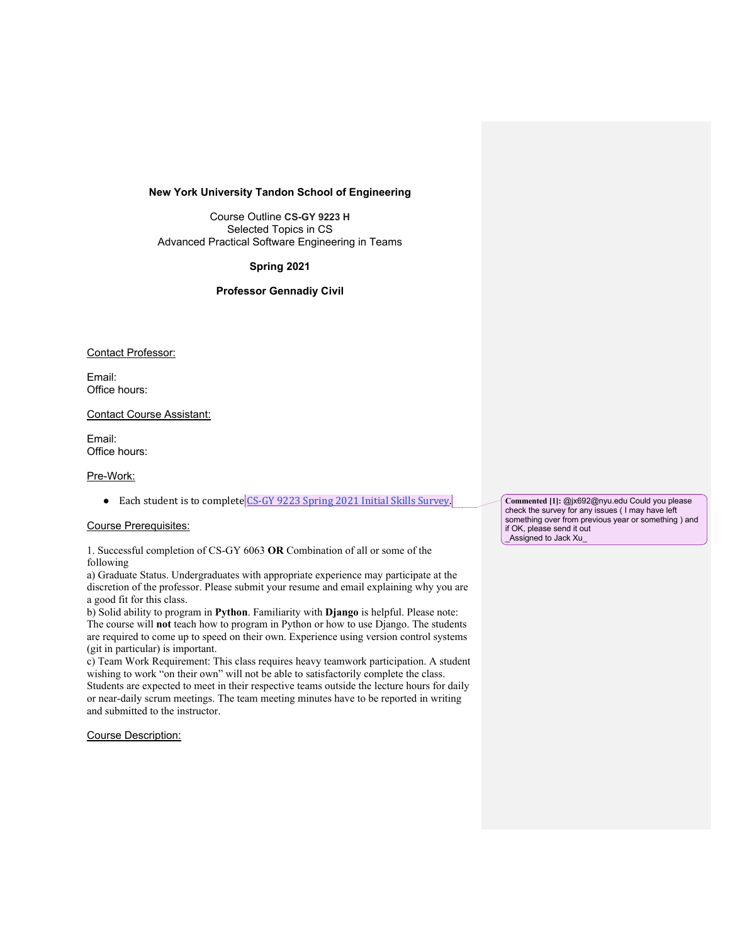#### **New York University Tandon School of Engineering**

Course Outline **CS-GY 9223 H** Selected Topics in CS Advanced Practical Software Engineering in Teams

# **Spring 2021**

# **Professor Gennadiy Civil**

### Contact Professor:

Email: Office hours:

Contact Course Assistant:

Email: Office hours:

# Pre-Work:

● Each student is to complete CS-GY 9223 Spring 2021 Initial Skills Survey.

#### Course Prerequisites:

1. Successful completion of CS-GY 6063 **OR** Combination of all or some of the following

a) Graduate Status. Undergraduates with appropriate experience may participate at the discretion of the professor. Please submit your resume and email explaining why you are a good fit for this class.

b) Solid ability to program in **Python**. Familiarity with **Django** is helpful. Please note: The course will **not** teach how to program in Python or how to use Django. The students are required to come up to speed on their own. Experience using version control systems (git in particular) is important.

c) Team Work Requirement: This class requires heavy teamwork participation. A student wishing to work "on their own" will not be able to satisfactorily complete the class. Students are expected to meet in their respective teams outside the lecture hours for daily or near-daily scrum meetings. The team meeting minutes have to be reported in writing and submitted to the instructor.

Course Description:

**Commented [1]:** @jx692@nyu.edu Could you please commented [1]. Check the survey for any issues ( I may have left something over from previous year or something ) and if OK, please send it out \_Assigned to Jack Xu\_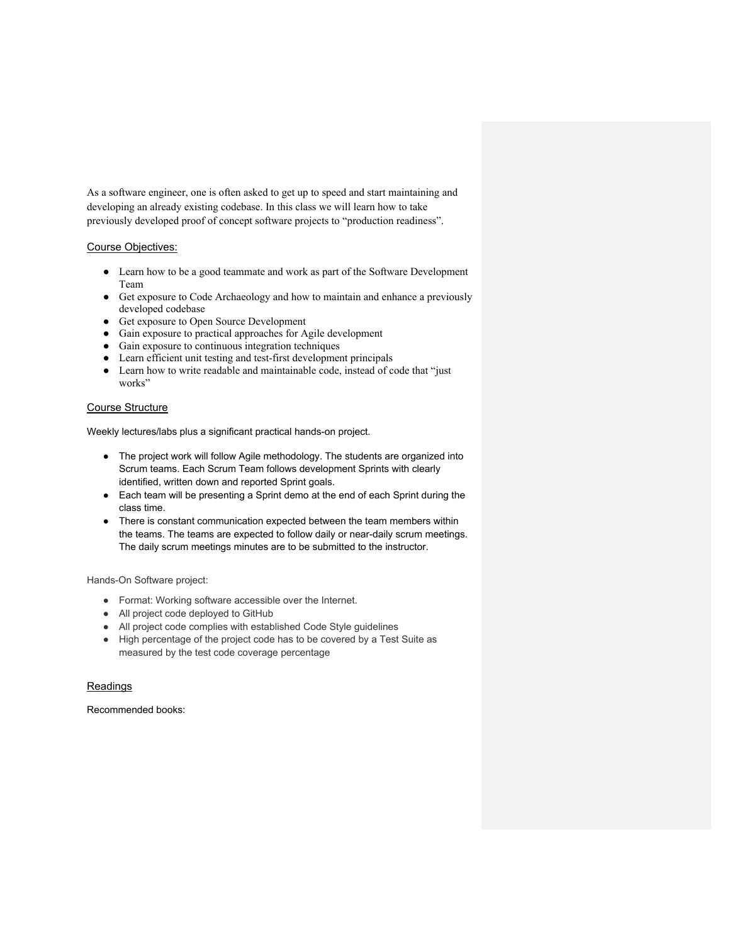As a software engineer, one is often asked to get up to speed and start maintaining and developing an already existing codebase. In this class we will learn how to take previously developed proof of concept software projects to "production readiness".

### Course Objectives:

- Learn how to be a good teammate and work as part of the Software Development Team
- Get exposure to Code Archaeology and how to maintain and enhance a previously developed codebase
- Get exposure to Open Source Development
- Gain exposure to practical approaches for Agile development
- Gain exposure to continuous integration techniques
- Learn efficient unit testing and test-first development principals
- Learn how to write readable and maintainable code, instead of code that "just works"

# Course Structure

Weekly lectures/labs plus a significant practical hands-on project.

- The project work will follow Agile methodology. The students are organized into Scrum teams. Each Scrum Team follows development Sprints with clearly identified, written down and reported Sprint goals.
- Each team will be presenting a Sprint demo at the end of each Sprint during the class time.
- There is constant communication expected between the team members within the teams. The teams are expected to follow daily or near-daily scrum meetings. The daily scrum meetings minutes are to be submitted to the instructor.

Hands-On Software project:

- Format: Working software accessible over the Internet.
- All project code deployed to GitHub
- All project code complies with established Code Style guidelines
- High percentage of the project code has to be covered by a Test Suite as measured by the test code coverage percentage

#### Readings

Recommended books: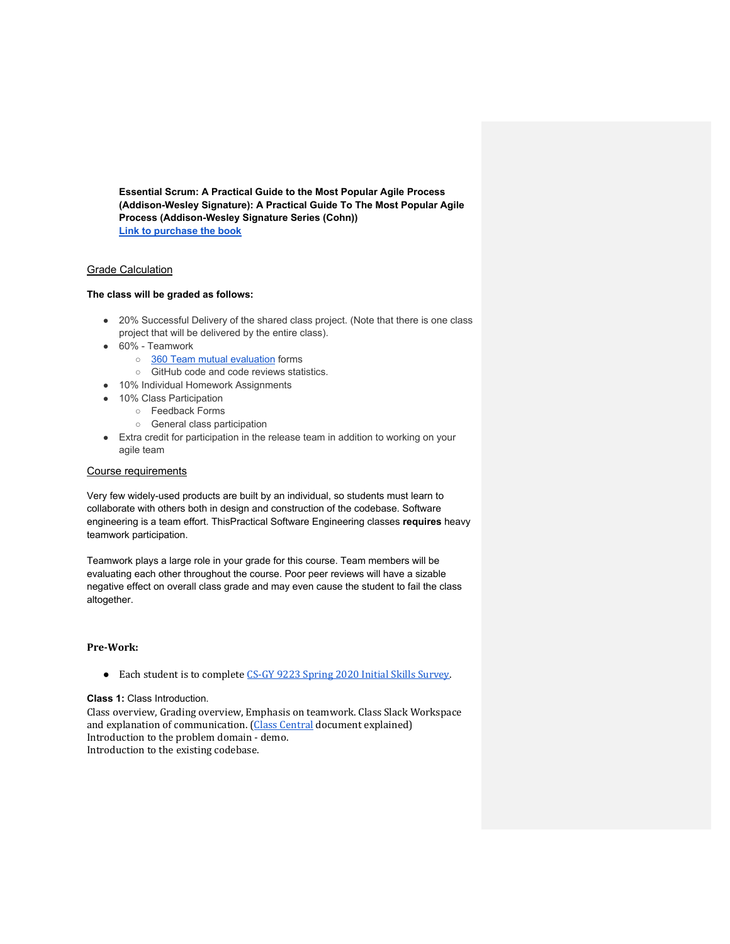**Essential Scrum: A Practical Guide to the Most Popular Agile Process (Addison-Wesley Signature): A Practical Guide To The Most Popular Agile Process (Addison-Wesley Signature Series (Cohn)) Link to purchase the book**

# Grade Calculation

### **The class will be graded as follows:**

- 20% Successful Delivery of the shared class project. (Note that there is one class project that will be delivered by the entire class).
- 60% Teamwork
	- o 360 Team mutual evaluation forms
	- GitHub code and code reviews statistics.
- 10% Individual Homework Assignments
- 10% Class Participation
	- Feedback Forms
	- General class participation
- Extra credit for participation in the release team in addition to working on your agile team

#### Course requirements

Very few widely-used products are built by an individual, so students must learn to collaborate with others both in design and construction of the codebase. Software engineering is a team effort. ThisPractical Software Engineering classes **requires** heavy teamwork participation.

Teamwork plays a large role in your grade for this course. Team members will be evaluating each other throughout the course. Poor peer reviews will have a sizable negative effect on overall class grade and may even cause the student to fail the class altogether.

#### **Pre-Work:**

● Each student is to complete CS-GY 9223 Spring 2020 Initial Skills Survey.

#### **Class 1:** Class Introduction.

Class overview, Grading overview, Emphasis on teamwork. Class Slack Workspace and explanation of communication. (Class Central document explained) Introduction to the problem domain - demo. Introduction to the existing codebase.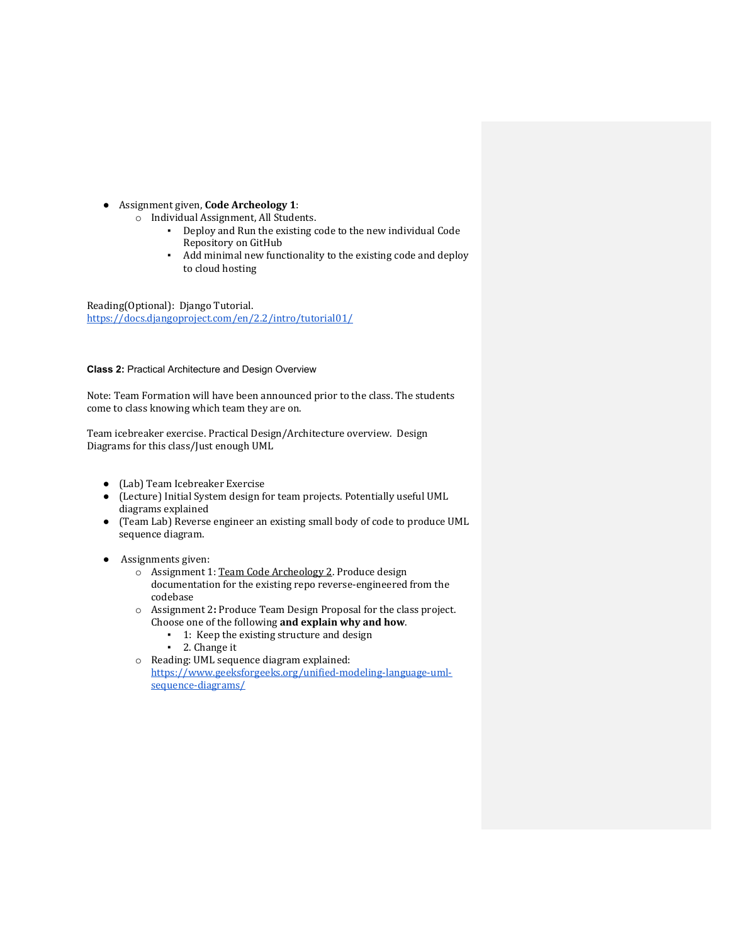- Assignment given, **Code Archeology 1**:
	- o Individual Assignment, All Students.
		- Deploy and Run the existing code to the new individual Code Repository on GitHub
		- Add minimal new functionality to the existing code and deploy to cloud hosting

Reading(Optional): Django Tutorial. https://docs.djangoproject.com/en/2.2/intro/tutorial01/

#### **Class 2:** Practical Architecture and Design Overview

Note: Team Formation will have been announced prior to the class. The students come to class knowing which team they are on.

Team icebreaker exercise. Practical Design/Architecture overview. Design Diagrams for this class/Just enough UML

- (Lab) Team Icebreaker Exercise
- (Lecture) Initial System design for team projects. Potentially useful UML diagrams explained
- (Team Lab) Reverse engineer an existing small body of code to produce UML sequence diagram.
- Assignments given:
	- o Assignment 1: Team Code Archeology 2. Produce design documentation for the existing repo reverse-engineered from the codebase
	- o Assignment 2: Produce Team Design Proposal for the class project. Choose one of the following and explain why and how.
		- 1: Keep the existing structure and design
		- 2. Change it
	- o Reading: UML sequence diagram explained: https://www.geeksforgeeks.org/unified-modeling-language-umlsequence-diagrams/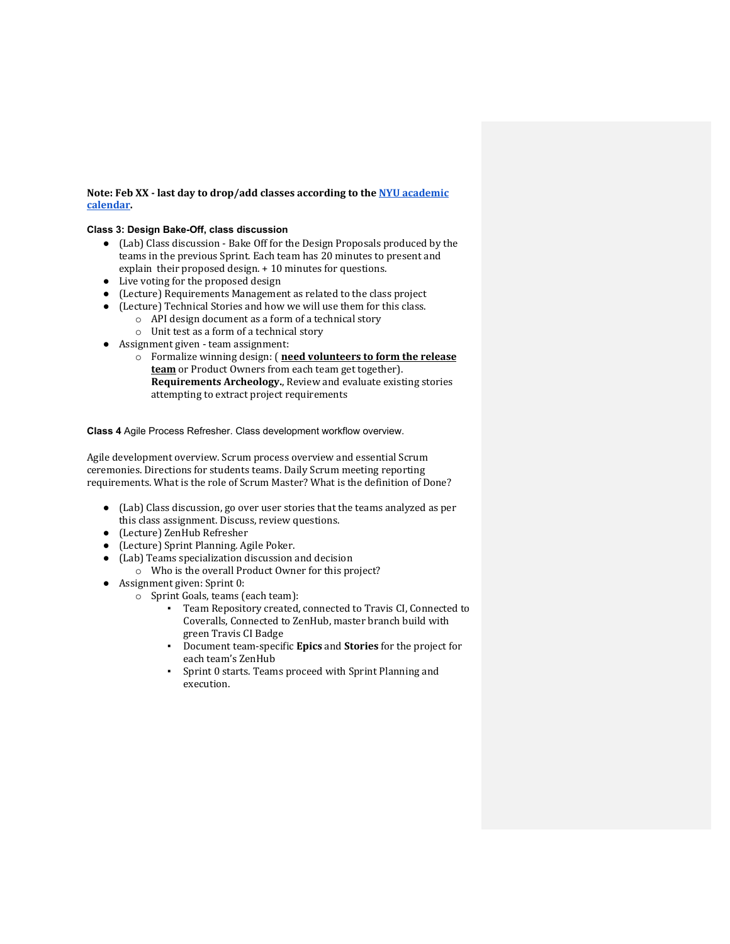# **Note: Feb XX - last day to drop/add classes according to the NYU academic calendar.**

# **Class 3: Design Bake-Off, class discussion**

- (Lab) Class discussion Bake Off for the Design Proposals produced by the  $\tanh$  teams in the previous Sprint. Each team has 20 minutes to present and explain their proposed design.  $+10$  minutes for questions.
- Live voting for the proposed design
- (Lecture) Requirements Management as related to the class project
- (Lecture) Technical Stories and how we will use them for this class.
	- $\circ$  API design document as a form of a technical story
	- $\circ$  Unit test as a form of a technical story
- Assignment given team assignment:
	- o Formalize winning design: (**need volunteers to form the release team** or Product Owners from each team get together). **Requirements Archeology.**, Review and evaluate existing stories attempting to extract project requirements

#### **Class 4** Agile Process Refresher. Class development workflow overview.

Agile development overview. Scrum process overview and essential Scrum ceremonies. Directions for students teams. Daily Scrum meeting reporting requirements. What is the role of Scrum Master? What is the definition of Done?

- (Lab) Class discussion, go over user stories that the teams analyzed as per this class assignment. Discuss, review questions.
- (Lecture) ZenHub Refresher
- (Lecture) Sprint Planning. Agile Poker.
- $(Lab)$  Teams specialization discussion and decision
	- o Who is the overall Product Owner for this project?
- Assignment given: Sprint 0:
	- o Sprint Goals, teams (each team):
		- Team Repository created, connected to Travis CI, Connected to Coveralls, Connected to ZenHub, master branch build with green Travis CI Badge
		- **•** Document team-specific **Epics** and **Stories** for the project for each team's ZenHub
		- Sprint 0 starts. Teams proceed with Sprint Planning and execution.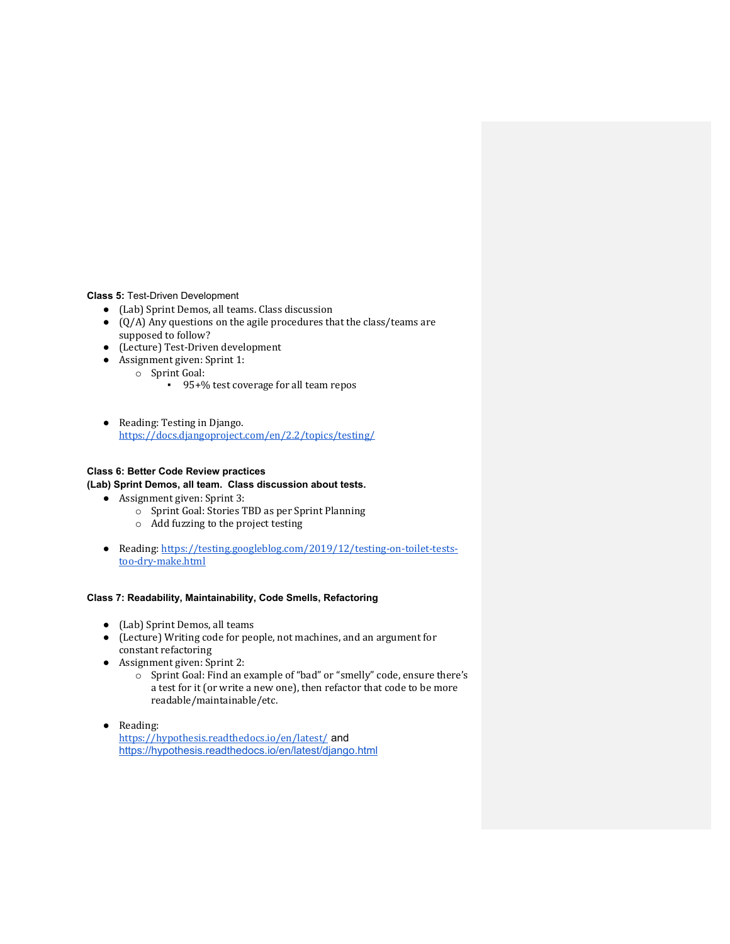**Class 5:** Test-Driven Development

- (Lab) Sprint Demos, all teams. Class discussion
- $\bullet$  (Q/A) Any questions on the agile procedures that the class/teams are supposed to follow?
- (Lecture) Test-Driven development
- Assignment given: Sprint 1:
	- o Sprint Goal:
		- 95+% test coverage for all team repos
- Reading: Testing in Django. https://docs.djangoproject.com/en/2.2/topics/testing/

# **Class 6: Better Code Review practices**

# **(Lab) Sprint Demos, all team. Class discussion about tests.**

- Assignment given: Sprint 3:
	- $\circ$  Sprint Goal: Stories TBD as per Sprint Planning
	- o Add fuzzing to the project testing
- Reading: https://testing.googleblog.com/2019/12/testing-on-toilet-teststoo-dry-make.html

# **Class 7: Readability, Maintainability, Code Smells, Refactoring**

- (Lab) Sprint Demos, all teams
- (Lecture) Writing code for people, not machines, and an argument for constant refactoring
- $\bullet$  Assignment given: Sprint 2:
	- $\circ$  Sprint Goal: Find an example of "bad" or "smelly" code, ensure there's a test for it (or write a new one), then refactor that code to be more readable/maintainable/etc.
- Reading: https://hypothesis.readthedocs.io/en/latest/ and https://hypothesis.readthedocs.io/en/latest/django.html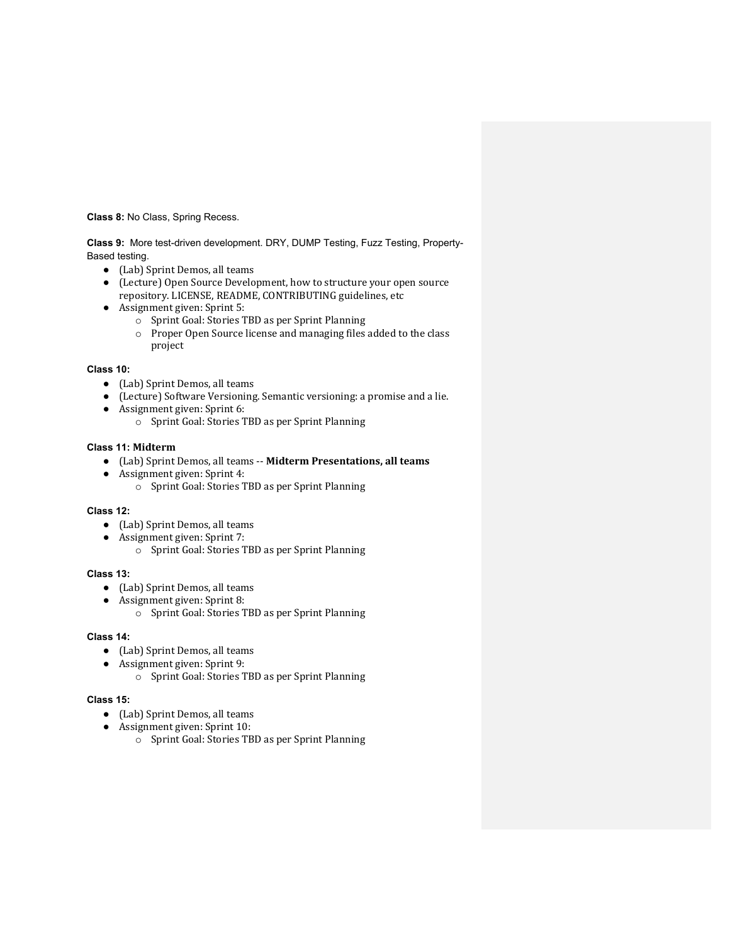**Class 8:** No Class, Spring Recess.

**Class 9:** More test-driven development. DRY, DUMP Testing, Fuzz Testing, Property-Based testing.

- (Lab) Sprint Demos, all teams
- (Lecture) Open Source Development, how to structure your open source repository. LICENSE, README, CONTRIBUTING guidelines, etc
- Assignment given: Sprint 5:
	- o Sprint Goal: Stories TBD as per Sprint Planning
	- o Proper Open Source license and managing files added to the class project

#### **Class 10:**

- (Lab) Sprint Demos, all teams
- (Lecture) Software Versioning. Semantic versioning: a promise and a lie.
- Assignment given: Sprint 6:
	- $\circ$  Sprint Goal: Stories TBD as per Sprint Planning

### **Class 11: Midterm**

- (Lab) Sprint Demos, all teams -- **Midterm Presentations, all teams**
- Assignment given: Sprint 4:
	- o Sprint Goal: Stories TBD as per Sprint Planning

# **Class 12:**

- (Lab) Sprint Demos, all teams
- Assignment given: Sprint 7:
	- o Sprint Goal: Stories TBD as per Sprint Planning

# **Class 13:**

- (Lab) Sprint Demos, all teams
- Assignment given: Sprint 8:
	- o Sprint Goal: Stories TBD as per Sprint Planning

# **Class 14:**

- (Lab) Sprint Demos, all teams
- Assignment given: Sprint 9:
	- o Sprint Goal: Stories TBD as per Sprint Planning

#### **Class 15:**

- (Lab) Sprint Demos, all teams
- Assignment given: Sprint 10:
	- o Sprint Goal: Stories TBD as per Sprint Planning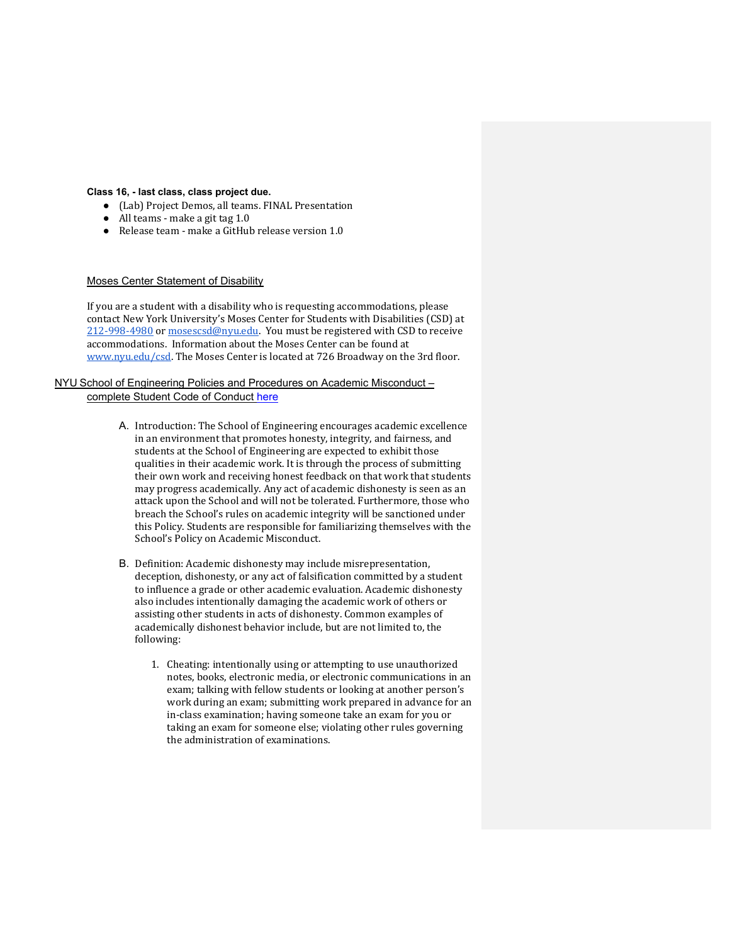#### **Class 16, - last class, class project due.**

- (Lab) Project Demos, all teams. FINAL Presentation
- $\bullet$  All teams make a git tag 1.0
- $\bullet$  Release team make a GitHub release version 1.0

# Moses Center Statement of Disability

If you are a student with a disability who is requesting accommodations, please contact New York University's Moses Center for Students with Disabilities (CSD) at 212-998-4980 or mosescsd@nyu.edu. You must be registered with CSD to receive accommodations. Information about the Moses Center can be found at www.nyu.edu/csd. The Moses Center is located at 726 Broadway on the 3rd floor.

## NYU School of Engineering Policies and Procedures on Academic Misconduct – complete Student Code of Conduct here

- A. Introduction: The School of Engineering encourages academic excellence in an environment that promotes honesty, integrity, and fairness, and students at the School of Engineering are expected to exhibit those qualities in their academic work. It is through the process of submitting their own work and receiving honest feedback on that work that students may progress academically. Any act of academic dishonesty is seen as an attack upon the School and will not be tolerated. Furthermore, those who breach the School's rules on academic integrity will be sanctioned under this Policy. Students are responsible for familiarizing themselves with the School's Policy on Academic Misconduct.
- B. Definition: Academic dishonesty may include misrepresentation, deception, dishonesty, or any act of falsification committed by a student to influence a grade or other academic evaluation. Academic dishonesty also includes intentionally damaging the academic work of others or assisting other students in acts of dishonesty. Common examples of academically dishonest behavior include, but are not limited to, the following:
	- 1. Cheating: intentionally using or attempting to use unauthorized notes, books, electronic media, or electronic communications in an exam; talking with fellow students or looking at another person's work during an exam; submitting work prepared in advance for an in-class examination; having someone take an exam for you or taking an exam for someone else; violating other rules governing the administration of examinations.